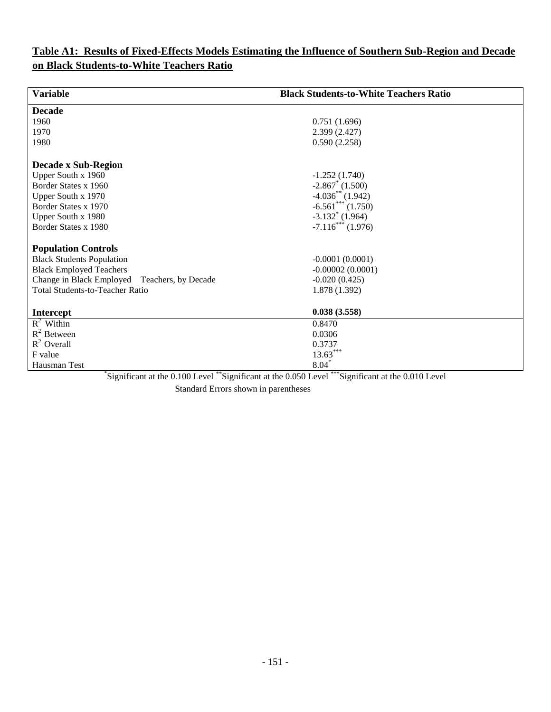## **Table A1: Results of Fixed-Effects Models Estimating the Influence of Southern Sub-Region and Decade on Black Students-to-White Teachers Ratio**

| <b>Variable</b>                                                             | <b>Black Students-to-White Teachers Ratio</b>   |
|-----------------------------------------------------------------------------|-------------------------------------------------|
| <b>Decade</b>                                                               |                                                 |
| 1960                                                                        | 0.751(1.696)                                    |
| 1970                                                                        | 2.399(2.427)                                    |
| 1980                                                                        | 0.590(2.258)                                    |
| <b>Decade x Sub-Region</b>                                                  |                                                 |
| Upper South x 1960                                                          | $-1.252(1.740)$                                 |
| Border States x 1960                                                        | $-2.867^*$ (1.500)                              |
| Upper South x 1970                                                          | $-4.036^{**}$ (1.942)                           |
| Border States x 1970                                                        | $-6.561***$ (1.750)                             |
| Upper South x 1980                                                          | $-3.132^*$ (1.964)                              |
| Border States x 1980                                                        | $-7.116$ <sup>***</sup> (1.976)                 |
| <b>Population Controls</b>                                                  |                                                 |
| <b>Black Students Population</b>                                            | $-0.0001(0.0001)$                               |
| <b>Black Employed Teachers</b>                                              | $-0.00002(0.0001)$                              |
| Change in Black Employed<br>Teachers, by Decade                             | $-0.020(0.425)$                                 |
| <b>Total Students-to-Teacher Ratio</b>                                      | 1.878 (1.392)                                   |
|                                                                             |                                                 |
| <b>Intercept</b>                                                            | 0.038(3.558)                                    |
| $R^2$ Within                                                                | 0.8470                                          |
| $R^2$ Between                                                               | 0.0306                                          |
| $R^2$ Overall                                                               | 0.3737                                          |
| F value                                                                     | $13.63***$                                      |
| Hausman Test<br>$^*{\scriptstyle\cdots}$<br>$** \alpha \cdot \cdots \alpha$ | $8.04$ <sup>*</sup><br>$***2$<br>$\cdot$ $\sim$ |

\* Significant at the 0.100 Level \*\*Significant at the 0.050 Level \*\*\*Significant at the 0.010 Level Standard Errors shown in parentheses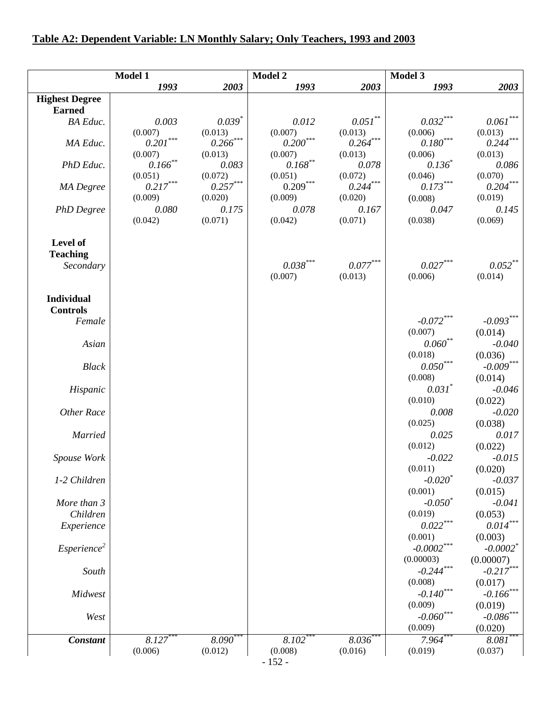## **Table A2: Dependent Variable: LN Monthly Salary; Only Teachers, 1993 and 2003**

|                         | Model 1                           |                                   | Model 2                                                               |                        | Model 3                           |                            |
|-------------------------|-----------------------------------|-----------------------------------|-----------------------------------------------------------------------|------------------------|-----------------------------------|----------------------------|
|                         | 1993                              | 2003                              | 1993                                                                  | 2003                   | 1993                              | 2003                       |
| <b>Highest Degree</b>   |                                   |                                   |                                                                       |                        |                                   |                            |
| <b>Earned</b>           |                                   |                                   |                                                                       |                        |                                   |                            |
| <b>BA</b> Educ.         | 0.003                             | $0.039*$                          | 0.012                                                                 | $0.051$ **             | $0.032\sp{***}$                   | $0.061^{\ast\ast\ast}$     |
|                         | (0.007)                           | (0.013)                           | (0.007)                                                               | (0.013)                | (0.006)                           | (0.013)                    |
| MA Educ.                | $0.201^{\ast\ast\ast}$            | $0.266$ ***                       | $0.200^\mathrm{***}$                                                  | $0.264***$             | $0.180^{\ast\ast\ast}$            | $0.244^{\ast\ast\ast}$     |
|                         | (0.007)                           | (0.013)                           | (0.007)                                                               | (0.013)                | (0.006)                           | (0.013)                    |
| PhD Educ.               | $0.166$ **                        | 0.083                             | $0.168^{\ast\ast}$                                                    | 0.078                  | $0.136^{*}$                       | 0.086                      |
|                         | (0.051)<br>$0.217^{\ast\ast\ast}$ | (0.072)<br>$0.257^{\ast\ast\ast}$ | (0.051)<br>$0.209\dots \qquad \qquad \qquad 0.209\dots \qquad \qquad$ | (0.072)<br>$0.244***$  | (0.046)<br>$0.173^{\ast\ast\ast}$ | (0.070)<br>$0.204\sp{***}$ |
| <b>MA</b> Degree        | (0.009)                           | (0.020)                           | (0.009)                                                               | (0.020)                | (0.008)                           | (0.019)                    |
| <b>PhD</b> Degree       | 0.080                             | 0.175                             | 0.078                                                                 | 0.167                  | 0.047                             | 0.145                      |
|                         | (0.042)                           | (0.071)                           | (0.042)                                                               | (0.071)                | (0.038)                           | (0.069)                    |
|                         |                                   |                                   |                                                                       |                        |                                   |                            |
| Level of                |                                   |                                   |                                                                       |                        |                                   |                            |
| <b>Teaching</b>         |                                   |                                   |                                                                       |                        |                                   |                            |
| Secondary               |                                   |                                   | $0.038^{\ast\ast\ast}$                                                | $0.077^{\ast\ast\ast}$ | $0.027***$                        | $0.052***$                 |
|                         |                                   |                                   | (0.007)                                                               | (0.013)                | (0.006)                           | (0.014)                    |
|                         |                                   |                                   |                                                                       |                        |                                   |                            |
| <b>Individual</b>       |                                   |                                   |                                                                       |                        |                                   |                            |
| <b>Controls</b>         |                                   |                                   |                                                                       |                        |                                   |                            |
| Female                  |                                   |                                   |                                                                       |                        | $-0.072***$                       | $-0.093***$                |
|                         |                                   |                                   |                                                                       |                        | (0.007)                           | (0.014)                    |
| Asian                   |                                   |                                   |                                                                       |                        | $0.060$ <sup>**</sup>             | $-0.040$                   |
|                         |                                   |                                   |                                                                       |                        | (0.018)                           | (0.036)                    |
| <b>Black</b>            |                                   |                                   |                                                                       |                        | $0.050^{\ast\ast\ast}$            | $-0.009***$                |
|                         |                                   |                                   |                                                                       |                        | (0.008)                           | (0.014)                    |
| Hispanic                |                                   |                                   |                                                                       |                        | $0.031^*$                         | $-0.046$                   |
|                         |                                   |                                   |                                                                       |                        | (0.010)                           | (0.022)                    |
| Other Race              |                                   |                                   |                                                                       |                        | 0.008                             | $-0.020$                   |
|                         |                                   |                                   |                                                                       |                        | (0.025)                           | (0.038)                    |
| <b>Married</b>          |                                   |                                   |                                                                       |                        | 0.025<br>(0.012)                  | 0.017<br>(0.022)           |
| Spouse Work             |                                   |                                   |                                                                       |                        | $-0.022$                          | $-0.015$                   |
|                         |                                   |                                   |                                                                       |                        | (0.011)                           | (0.020)                    |
| 1-2 Children            |                                   |                                   |                                                                       |                        | $-0.020^*$                        | $-0.037$                   |
|                         |                                   |                                   |                                                                       |                        | (0.001)                           | (0.015)                    |
| More than 3             |                                   |                                   |                                                                       |                        | $-0.050^*$                        | $-0.041$                   |
| Children                |                                   |                                   |                                                                       |                        | (0.019)                           | (0.053)                    |
| Experience              |                                   |                                   |                                                                       |                        | $0.022\sp{***}$                   | $0.014^{\ast\ast\ast}$     |
|                         |                                   |                                   |                                                                       |                        | (0.001)                           | (0.003)                    |
| Esperience <sup>2</sup> |                                   |                                   |                                                                       |                        | $-0.0002***$                      | $-0.0002$ <sup>*</sup>     |
|                         |                                   |                                   |                                                                       |                        | (0.00003)                         | (0.00007)                  |
| South                   |                                   |                                   |                                                                       |                        | $-0.244***$                       | $-0.217***$                |
|                         |                                   |                                   |                                                                       |                        | (0.008)                           | (0.017)                    |
| Midwest                 |                                   |                                   |                                                                       |                        | $-0.140***$                       | $-0.166$ ***               |
|                         |                                   |                                   |                                                                       |                        | (0.009)                           | (0.019)                    |
| West                    |                                   |                                   |                                                                       |                        | $\textbf{-0.060}^{\ast\ast\ast}$  | $-0.086$ **                |
|                         |                                   |                                   |                                                                       |                        | (0.009)                           | (0.020)                    |
| <b>Constant</b>         | $8.127$ *                         | $8.090***$                        | $8.102**$                                                             | $8.036^{**}$           | 7.964                             | $8.081$ **                 |
|                         | (0.006)                           | (0.012)                           | (0.008)                                                               | (0.016)                | (0.019)                           | (0.037)                    |
|                         |                                   |                                   | $-152-$                                                               |                        |                                   |                            |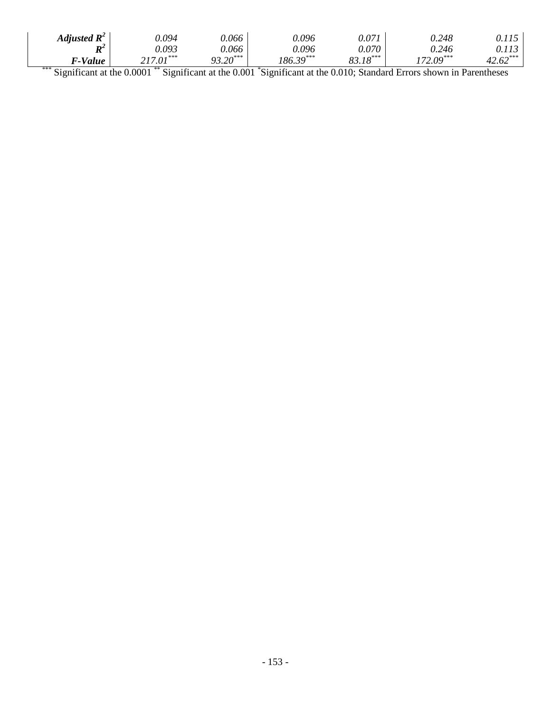| Adjusted $\mathbf{R}^2$        | 0.094                            | 0.066      | 9.096                         | 0.07                      | 0.248                                           |                              |
|--------------------------------|----------------------------------|------------|-------------------------------|---------------------------|-------------------------------------------------|------------------------------|
| $\mathbf{D}^2$<br>11           | 0.093                            | 0.066      | 9.096                         | 0.070                     | 0.246                                           |                              |
| F-Value                        | $217.01***$                      | $93.20***$ | $186.39***$                   | $\cdot$ 18 <sup>***</sup> | $172.09***$                                     | $\mathcal{L}$ <sup>***</sup> |
| ***<br>the control of the con- | **<br>the control of the control |            | the control of the control of |                           | the contract of the contract of the contract of |                              |

\*\*\* Significant at the 0.0001 \*\* Significant at the 0.001 \*Significant at the 0.010; Standard Errors shown in Parentheses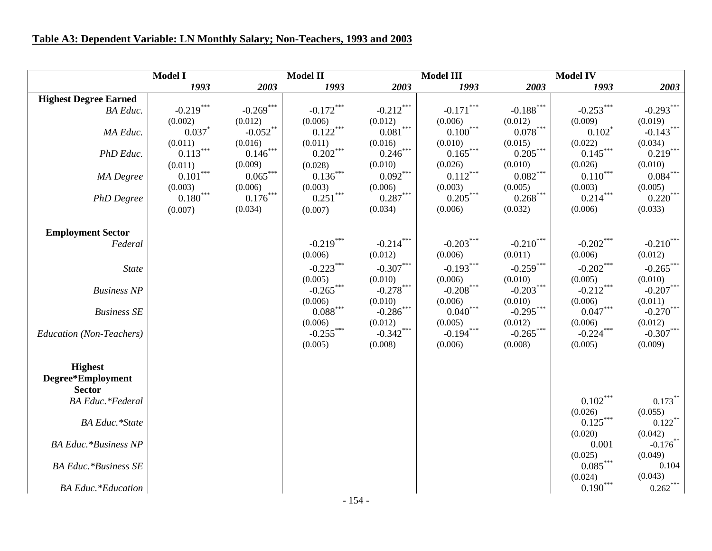## **Table A3: Dependent Variable: LN Monthly Salary; Non-Teachers, 1993 and 2003**

|                              | <b>Model I</b>         |             | <b>Model II</b>        |                             | <b>Model III</b>     |                 | <b>Model IV</b>       |                         |
|------------------------------|------------------------|-------------|------------------------|-----------------------------|----------------------|-----------------|-----------------------|-------------------------|
|                              | 1993                   | 2003        | 1993                   | 2003                        | 1993                 | 2003            | 1993                  | 2003                    |
| <b>Highest Degree Earned</b> |                        |             |                        |                             |                      |                 |                       |                         |
| <b>BA</b> Educ.              | $-0.219***$            | $-0.269***$ | $-0.172***$            | $-0.212***$                 | $-0.171***$          | $-0.188***$     | $-0.253***$           | $-0.293***$             |
|                              | (0.002)                | (0.012)     | (0.006)                | (0.012)                     | (0.006)              | (0.012)         | (0.009)               | (0.019)                 |
| MA Educ.                     | 0.037                  | $-0.052$ ** | $0.122***$             | $0.081^{\ast\ast\ast}$      | $0.100***$           | $0.078***$      | $0.102^*$             | $-0.143***$             |
|                              | (0.011)                | (0.016)     | (0.011)                | (0.016)                     | (0.010)              | (0.015)         | (0.022)               | (0.034)                 |
| PhD Educ.                    | $0.113***$             | $0.146***$  | $0.202***$             | $0.246***$                  | $0.165***$           | $0.205***$      | $0.145***$            | $0.219***$              |
|                              | (0.011)                | (0.009)     | (0.028)                | (0.010)                     | (0.026)              | (0.010)         | (0.026)               | (0.010)                 |
| MA Degree                    | $0.101***$             | $0.065***$  | $0.136***$             | $0.092***$                  | $0.112***$           | $0.082\sp{***}$ | $0.110***$            | $0.084***$              |
|                              | (0.003)                | (0.006)     | (0.003)                | (0.006)                     | (0.003)              | (0.005)         | (0.003)               | (0.005)                 |
| <b>PhD</b> Degree            | $0.180^{\ast\ast\ast}$ | $0.176***$  | $0.251***$             | $0.287\sp{*}{^\ast\sp{*}}}$ | $0.205***$           | $0.268***$      | $0.214***$            | $0.220***$              |
|                              | (0.007)                | (0.034)     | (0.007)                | (0.034)                     | (0.006)              | (0.032)         | (0.006)               | (0.033)                 |
|                              |                        |             |                        |                             |                      |                 |                       |                         |
| <b>Employment Sector</b>     |                        |             |                        |                             |                      |                 |                       |                         |
| Federal                      |                        |             | $-0.219***$            | $-0.214***$                 | $-0.203***$          | $-0.210$ ***    | $-0.202$ ***          | $-0.210$ <sup>***</sup> |
|                              |                        |             | (0.006)                | (0.012)                     | (0.006)              | (0.011)         | (0.006)               | (0.012)                 |
| <b>State</b>                 |                        |             | $-0.223***$            | $-0.307***$                 | $-0.193***$          | $-0.259***$     | $-0.202$ ***          | $-0.265$ ***            |
|                              |                        |             | (0.005)                | (0.010)                     | (0.006)              | (0.010)         | (0.005)               | (0.010)                 |
| <b>Business NP</b>           |                        |             | $-0.265***$            | $-0.278***$                 | $-0.208***$          | $-0.203***$     | $-0.212***$           | $-0.207***$             |
|                              |                        |             | (0.006)                | (0.010)                     | (0.006)              | (0.010)         | (0.006)               | (0.011)                 |
| <b>Business SE</b>           |                        |             | $0.088^{\ast\ast\ast}$ | $-0.286$ ***                | $0.040^\mathrm{***}$ | $-0.295***$     | $0.047***$            | $-0.270***$             |
|                              |                        |             | (0.006)                | (0.012)                     | (0.005)              | (0.012)         | (0.006)               | (0.012)                 |
| Education (Non-Teachers)     |                        |             | $-0.255***$            | $-0.342***$                 | $-0.194***$          | $-0.265***$     | $-0.224***$           | $-0.307***$             |
|                              |                        |             | (0.005)                | (0.008)                     | (0.006)              | (0.008)         | (0.005)               | (0.009)                 |
|                              |                        |             |                        |                             |                      |                 |                       |                         |
| <b>Highest</b>               |                        |             |                        |                             |                      |                 |                       |                         |
| Degree*Employment            |                        |             |                        |                             |                      |                 |                       |                         |
| <b>Sector</b>                |                        |             |                        |                             |                      |                 |                       |                         |
| <b>BA</b> Educ.*Federal      |                        |             |                        |                             |                      |                 | $0.102***$            | $0.173***$              |
|                              |                        |             |                        |                             |                      |                 | (0.026)<br>$0.125***$ | (0.055)                 |
| <b>BA Educ.*State</b>        |                        |             |                        |                             |                      |                 |                       | $0.122$ **              |
| <b>BA Educ.*Business NP</b>  |                        |             |                        |                             |                      |                 | (0.020)<br>0.001      | (0.042)<br>$-0.176$ **  |
|                              |                        |             |                        |                             |                      |                 | (0.025)               | (0.049)                 |
| <b>BA Educ. *Business SE</b> |                        |             |                        |                             |                      |                 | $0.085***$            | 0.104                   |
|                              |                        |             |                        |                             |                      |                 | (0.024)               | (0.043)                 |
| <b>BA Educ.*Education</b>    |                        |             |                        |                             |                      |                 | $0.190***$            | $0.262***$              |
|                              |                        |             |                        |                             |                      |                 |                       |                         |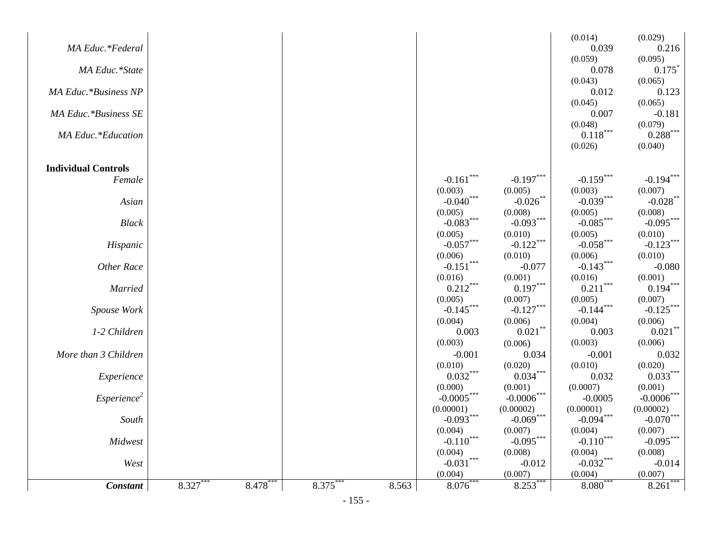| <b>Constant</b>            | 8.327 | 8.478 | $8.375*$ | 8.563 | 8.076                  | 8.253                  | $8.080^{\degree}$      | 8.261                   |
|----------------------------|-------|-------|----------|-------|------------------------|------------------------|------------------------|-------------------------|
| West                       |       |       |          |       | $-0.031***$<br>(0.004) | $-0.012$<br>(0.007)    | $-0.032***$<br>(0.004) | $-0.014$<br>(0.007)     |
|                            |       |       |          |       | (0.004)                | (0.008)                | (0.004)                | (0.008)                 |
| Midwest                    |       |       |          |       | $-0.110***$            | $-0.095***$            | $-0.110***$            | $-0.095***$             |
| South                      |       |       |          |       | $-0.093***$<br>(0.004) | $-0.069***$<br>(0.007) | $-0.094***$<br>(0.004) | $-0.070$ ***<br>(0.007) |
|                            |       |       |          |       | (0.00001)              | (0.00002)              | (0.00001)              | (0.00002)               |
| Esperience <sup>2</sup>    |       |       |          |       | $-0.0005***$           | $-0.0006$ ***          | $-0.0005$              | $-0.0006$ ***           |
|                            |       |       |          |       | (0.000)                | (0.001)                | (0.0007)               | (0.001)                 |
| Experience                 |       |       |          |       | $0.032***$             | $0.034***$             | 0.032                  | $0.033***$              |
|                            |       |       |          |       | (0.010)                | (0.020)                | (0.010)                | (0.020)                 |
| More than 3 Children       |       |       |          |       | $-0.001$               | (0.006)<br>0.034       | $-0.001$               | 0.032                   |
| 1-2 Children               |       |       |          |       | 0.003<br>(0.003)       | $0.021\sp{*}$          | 0.003<br>(0.003)       | $0.021$ **<br>(0.006)   |
|                            |       |       |          |       | (0.004)                | (0.006)                | (0.004)                | (0.006)                 |
| Spouse Work                |       |       |          |       | $-0.145***$            | $-0.127***$            | $-0.144$ ***           | $-0.125***$             |
|                            |       |       |          |       | (0.005)                | (0.007)                | (0.005)                | (0.007)                 |
| <b>Married</b>             |       |       |          |       | $0.212***$             | $0.197***$             | $0.211***$             | $0.194***$              |
|                            |       |       |          |       | (0.016)                | (0.001)                | (0.016)                | (0.001)                 |
| Other Race                 |       |       |          |       | (0.006)<br>$-0.151***$ | (0.010)<br>$-0.077$    | (0.006)<br>$-0.143***$ | (0.010)<br>$-0.080$     |
| Hispanic                   |       |       |          |       | $-0.057***$            | $-0.122***$            | $-0.058***$            | $-0.123***$             |
|                            |       |       |          |       | (0.005)                | (0.010)                | (0.005)                | (0.010)                 |
| <b>Black</b>               |       |       |          |       | $-0.083***$            | $-0.093***$            | $-0.085***$            | $-0.095***$             |
|                            |       |       |          |       | (0.005)                | (0.008)                | (0.005)                | (0.008)                 |
| Asian                      |       |       |          |       | $-0.040***$            | $-0.026$ **            | $-0.039***$            | $-0.028$ **             |
| Female                     |       |       |          |       | (0.003)                | (0.005)                | (0.003)                | (0.007)                 |
| <b>Individual Controls</b> |       |       |          |       | $-0.161$ ***           | $-0.197***$            | $-0.159***$            | $-0.194***$             |
|                            |       |       |          |       |                        |                        |                        |                         |
|                            |       |       |          |       |                        |                        | (0.026)                | (0.040)                 |
| <b>MA Educ.*Education</b>  |       |       |          |       |                        |                        | $0.118***$             | $0.288***$              |
| MA Educ.*Business SE       |       |       |          |       |                        |                        | 0.007<br>(0.048)       | $-0.181$<br>(0.079)     |
|                            |       |       |          |       |                        |                        | (0.045)                | (0.065)                 |
| MA Educ.*Business NP       |       |       |          |       |                        |                        | 0.012                  | 0.123                   |
|                            |       |       |          |       |                        |                        | (0.043)                | (0.065)                 |
| MA Educ.*State             |       |       |          |       |                        |                        | 0.078                  | 0.175                   |
|                            |       |       |          |       |                        |                        | (0.059)                | 0.216<br>(0.095)        |
| MA Educ.*Federal           |       |       |          |       |                        |                        | 0.039                  |                         |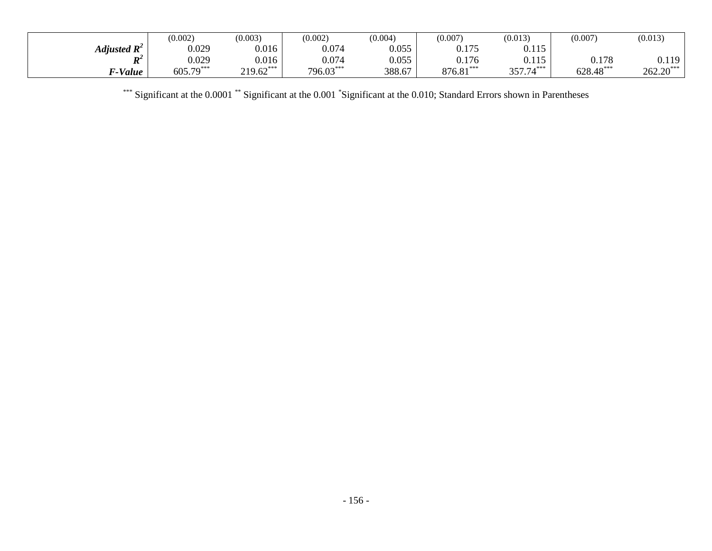|                         | (0.002)     | (0.003)     | (0.002)   | (0.004) | (0.007)     | (0.013)           | (0.007)     | (0.013)     |
|-------------------------|-------------|-------------|-----------|---------|-------------|-------------------|-------------|-------------|
| Adjusted $\mathbf{R}^2$ | 0.029       | 0.016       | 0.074     | 0.055   | 0.175       | 0.115<br>v. 1 1 J |             |             |
| D <sup>2</sup><br>л     | 0.029       | 0.016       | 0.074     | 0.055   | 0.176       | 0.115             | 0.178       | 0.119       |
| 7-Value                 | $605.79***$ | $219.62***$ | 796.03*** | 388.67  | $876.81***$ | 357.74***         | $628.48***$ | $262.20***$ |

\*\*\* Significant at the 0.0001 \*\* Significant at the 0.001 \*Significant at the 0.010; Standard Errors shown in Parentheses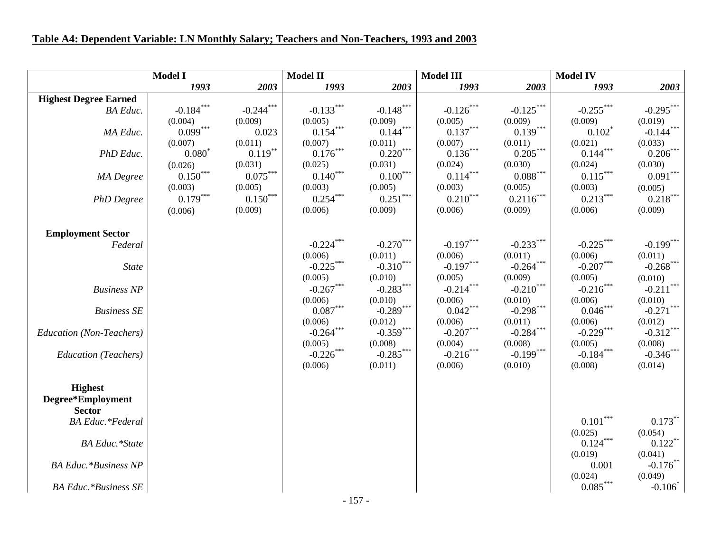## **Table A4: Dependent Variable: LN Monthly Salary; Teachers and Non-Teachers, 1993 and 2003**

|                              | <b>Model I</b> |             | <b>Model II</b> |                      | <b>Model III</b> |                        | <b>Model IV</b>        |              |
|------------------------------|----------------|-------------|-----------------|----------------------|------------------|------------------------|------------------------|--------------|
|                              | 1993           | 2003        | 1993            | 2003                 | 1993             | 2003                   | 1993                   | 2003         |
| <b>Highest Degree Earned</b> |                |             |                 |                      |                  |                        |                        |              |
| <b>BA</b> Educ.              | $-0.184***$    | $-0.244***$ | $-0.133***$     | $-0.148***$          | $-0.126$ ***     | $-0.125***$            | $-0.255***$            | $-0.295***$  |
|                              | (0.004)        | (0.009)     | (0.005)         | (0.009)              | (0.005)          | (0.009)                | (0.009)                | (0.019)      |
| MA Educ.                     | $0.099***$     | 0.023       | $0.154***$      | $0.144***$           | $0.137***$       | $0.139***$             | $0.102^*$              | $-0.144***$  |
|                              | (0.007)        | (0.011)     | (0.007)         | (0.011)              | (0.007)          | (0.011)                | (0.021)                | (0.033)      |
| PhD Educ.                    | $0.080^{*}$    | $0.119***$  | $0.176***$      | $0.220***$           | $0.136***$       | $0.205***$             | $0.144***$             | $0.206***$   |
|                              | (0.026)        | (0.031)     | (0.025)         | (0.031)              | (0.024)          | (0.030)                | (0.024)                | (0.030)      |
| MA Degree                    | $0.150***$     | $0.075***$  | $0.140***$      | $0.100^\mathrm{***}$ | $0.114***$       | $0.088^{\ast\ast\ast}$ | $0.115***$             | $0.091***$   |
|                              | (0.003)        | (0.005)     | (0.003)         | (0.005)              | (0.003)          | (0.005)                | (0.003)                | (0.005)      |
| <b>PhD</b> Degree            | $0.179***$     | $0.150***$  | $0.254***$      | $0.251***$           | $0.210***$       | $0.2116^{***}$         | $0.213***$             | $0.218***$   |
|                              | (0.006)        | (0.009)     | (0.006)         | (0.009)              | (0.006)          | (0.009)                | (0.006)                | (0.009)      |
|                              |                |             |                 |                      |                  |                        |                        |              |
| <b>Employment Sector</b>     |                |             |                 |                      |                  |                        |                        |              |
| Federal                      |                |             | $-0.224***$     | $-0.270***$          | $-0.197***$      | $-0.233***$            | $-0.225***$            | $-0.199***$  |
|                              |                |             | (0.006)         | (0.011)              | (0.006)          | (0.011)                | (0.006)                | (0.011)      |
| State                        |                |             | $-0.225***$     | $-0.310***$          | $-0.197***$      | $-0.264***$            | $-0.207***$            | $-0.268$ *** |
|                              |                |             | (0.005)         | (0.010)              | (0.005)          | (0.009)                | (0.005)                | (0.010)      |
| <b>Business NP</b>           |                |             | $-0.267***$     | $-0.283***$          | $-0.214***$      | $-0.210***$            | $-0.216***$            | $-0.211***$  |
|                              |                |             | (0.006)         | (0.010)              | (0.006)          | (0.010)                | (0.006)                | (0.010)      |
| <b>Business SE</b>           |                |             | $0.087***$      | $-0.289***$          | $0.042***$       | $-0.298***$            | $0.046***$             | $-0.271$ *** |
|                              |                |             | (0.006)         | (0.012)              | (0.006)          | (0.011)                | (0.006)                | (0.012)      |
| Education (Non-Teachers)     |                |             | $-0.264***$     | $-0.359***$          | $-0.207***$      | $-0.284***$            | $-0.229***$            | $-0.312***$  |
|                              |                |             | (0.005)         | (0.008)              | (0.004)          | (0.008)                | (0.005)                | (0.008)      |
| <b>Education</b> (Teachers)  |                |             | $-0.226$ ***    | $-0.285***$          | $-0.216***$      | $-0.199***$            | $-0.184***$            | $-0.346$ *** |
|                              |                |             | (0.006)         | (0.011)              | (0.006)          | (0.010)                | (0.008)                | (0.014)      |
|                              |                |             |                 |                      |                  |                        |                        |              |
| <b>Highest</b>               |                |             |                 |                      |                  |                        |                        |              |
| Degree*Employment            |                |             |                 |                      |                  |                        |                        |              |
| <b>Sector</b>                |                |             |                 |                      |                  |                        |                        |              |
| <b>BA</b> Educ.*Federal      |                |             |                 |                      |                  |                        | $0.101***$             | $0.173***$   |
|                              |                |             |                 |                      |                  |                        | (0.025)                | (0.054)      |
| <b>BA Educ.*State</b>        |                |             |                 |                      |                  |                        | $0.124***$             | $0.122***$   |
|                              |                |             |                 |                      |                  |                        | (0.019)                | (0.041)      |
| <b>BA Educ. *Business NP</b> |                |             |                 |                      |                  |                        | 0.001                  | $-0.176$ **  |
|                              |                |             |                 |                      |                  |                        | (0.024)                | (0.049)      |
| <b>BA Educ.*Business SE</b>  |                |             |                 |                      |                  |                        | $0.085^{\ast\ast\ast}$ | $-0.106*$    |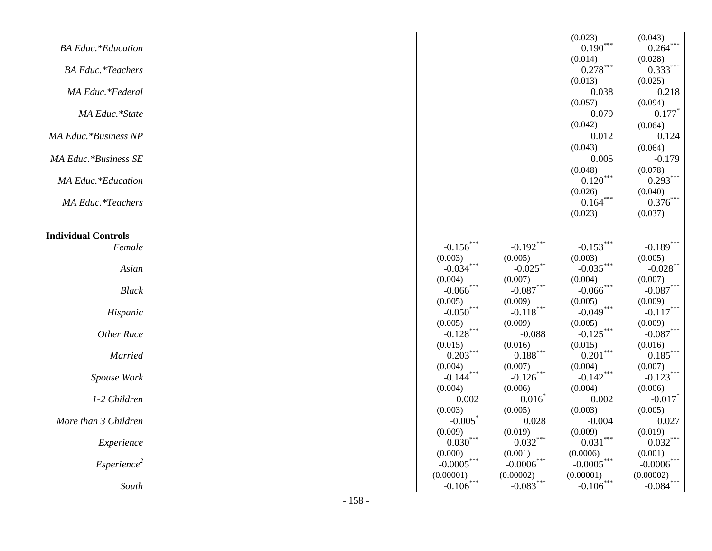|                            |  |                         |                        | (0.023)                | (0.043)                |
|----------------------------|--|-------------------------|------------------------|------------------------|------------------------|
| <b>BA</b> Educ.*Education  |  |                         |                        | $0.190***$             | $0.264***$             |
|                            |  |                         |                        | (0.014)                | (0.028)                |
| <b>BA Educ.*Teachers</b>   |  |                         |                        | $0.278^{\ast\ast\ast}$ | $0.333***$             |
|                            |  |                         |                        | (0.013)                | (0.025)                |
| MA Educ.*Federal           |  |                         |                        | 0.038                  | 0.218                  |
|                            |  |                         |                        | (0.057)                | (0.094)                |
| MA Educ.*State             |  |                         |                        | 0.079                  | 0.177                  |
|                            |  |                         |                        | (0.042)                | (0.064)                |
| MA Educ.*Business NP       |  |                         |                        | 0.012                  | 0.124                  |
|                            |  |                         |                        | (0.043)                | (0.064)                |
| MA Educ.*Business SE       |  |                         |                        | 0.005                  | $-0.179$               |
|                            |  |                         |                        | (0.048)                | (0.078)                |
| <b>MA Educ.*Education</b>  |  |                         |                        | $0.120***$             | $0.293***$             |
|                            |  |                         |                        | (0.026)                | (0.040)                |
| <b>MA Educ. *Teachers</b>  |  |                         |                        | $0.164***$             | $0.376***$             |
|                            |  |                         |                        | (0.023)                | (0.037)                |
|                            |  |                         |                        |                        |                        |
| <b>Individual Controls</b> |  |                         |                        |                        |                        |
| Female                     |  | $-0.156***$             | $-0.192***$            | $-0.153***$            | $-0.189***$            |
|                            |  | (0.003)                 | (0.005)                | (0.003)                | (0.005)                |
| Asian                      |  | $-0.034***$             | $-0.025$ **            | $-0.035***$            | $-0.028$ **            |
|                            |  | (0.004)<br>$-0.066$ *** | (0.007)                | (0.004)                | (0.007)                |
| <b>Black</b>               |  |                         | $-0.087***$            | $-0.066$ ***           | $-0.087***$            |
|                            |  | (0.005)<br>$-0.050***$  | (0.009)<br>$-0.118***$ | (0.005)<br>$-0.049***$ | (0.009)<br>$-0.117***$ |
| Hispanic                   |  |                         | (0.009)                |                        |                        |
| <b>Other Race</b>          |  | (0.005)<br>$-0.128$ *** | $-0.088$               | (0.005)<br>$-0.125***$ | (0.009)<br>$-0.087***$ |
|                            |  | (0.015)                 | (0.016)                | (0.015)                | (0.016)                |
| Married                    |  | $0.203***$              | $0.188^{\ast\ast\ast}$ | $0.201\sp{***}$        | $0.185***$             |
|                            |  | (0.004)                 | (0.007)                | (0.004)                | (0.007)                |
| Spouse Work                |  | $-0.144***$             | $-0.126$ ***           | $-0.142***$            | $-0.123***$            |
|                            |  | (0.004)                 | (0.006)                | (0.004)                | (0.006)                |
| 1-2 Children               |  | 0.002                   | 0.016                  | 0.002                  | $-0.017$ <sup>*</sup>  |
|                            |  | (0.003)                 | (0.005)                | (0.003)                | (0.005)                |
| More than 3 Children       |  | $-0.005$                | 0.028                  | $-0.004$               | 0.027                  |
|                            |  | (0.009)                 | (0.019)                | (0.009)                | (0.019)                |
| Experience                 |  | $0.030^\mathrm{***}$    | $0.032***$             | $0.031***$             | $0.032***$             |
|                            |  | (0.000)                 | (0.001)                | (0.0006)               | (0.001)                |
| Esperience <sup>2</sup>    |  | $-0.0005***$            | $-0.0006$ ***          | $-0.0005^{***}\,$      | $-0.0006***$           |
|                            |  | (0.00001)               | (0.00002)              | (0.00001)              | (0.00002)              |
| South                      |  | $-0.106***$             | $-0.083***$            | $-0.106***$            | $-0.084$ ***           |